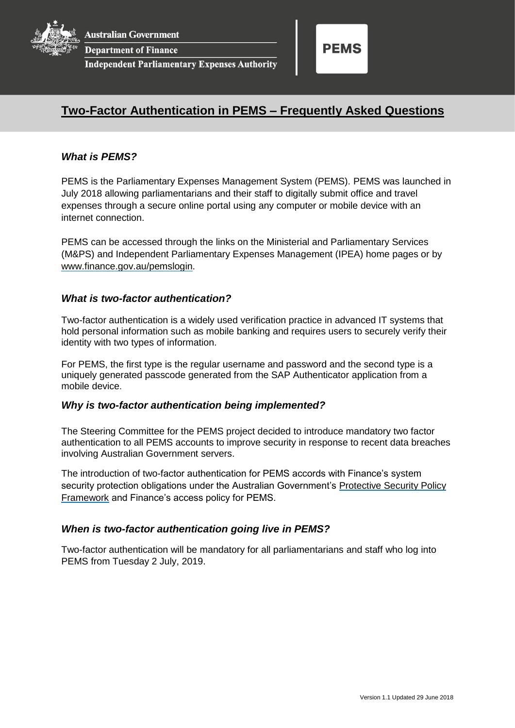

**Department of Finance** 

**Independent Parliamentary Expenses Authority** 



# **Two-Factor Authentication in PEMS – Frequently Asked Questions**

## *What is PEMS?*

PEMS is the Parliamentary Expenses Management System (PEMS). PEMS was launched in July 2018 allowing parliamentarians and their staff to digitally submit office and travel expenses through a secure online portal using any computer or mobile device with an internet connection.

PEMS can be accessed through the links on the Ministerial and Parliamentary Services (M&PS) and Independent Parliamentary Expenses Management (IPEA) home pages or by [www.finance.gov.au/pemslogin.](http://www.finance.gov.au/pemslogin)

## *What is two-factor authentication?*

Two-factor authentication is a widely used verification practice in advanced IT systems that hold personal information such as mobile banking and requires users to securely verify their identity with two types of information.

For PEMS, the first type is the regular username and password and the second type is a uniquely generated passcode generated from the SAP Authenticator application from a mobile device.

#### *Why is two-factor authentication being implemented?*

The Steering Committee for the PEMS project decided to introduce mandatory two factor authentication to all PEMS accounts to improve security in response to recent data breaches involving Australian Government servers.

The introduction of two-factor authentication for PEMS accords with Finance's system security protection obligations under the Australian Government's Protective Security Policy [Framework](https://www.protectivesecurity.gov.au/Pages/default.aspx) and Finance's access policy for PEMS.

#### *When is two-factor authentication going live in PEMS?*

Two-factor authentication will be mandatory for all parliamentarians and staff who log into PEMS from Tuesday 2 July, 2019.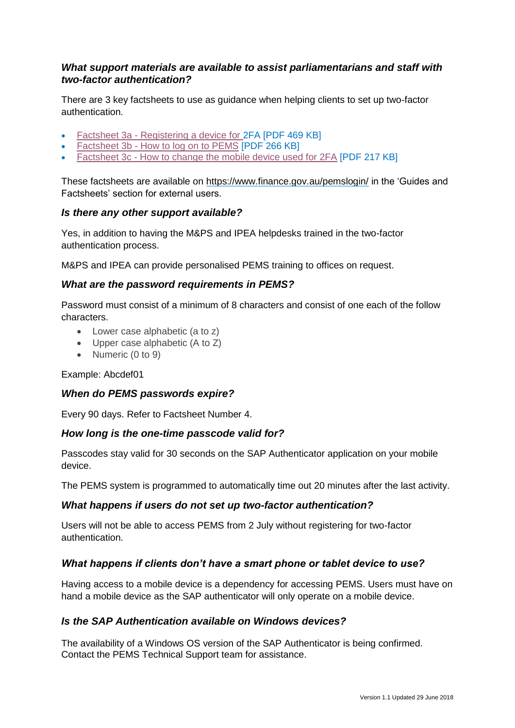## *What support materials are available to assist parliamentarians and staff with two-factor authentication?*

There are 3 key factsheets to use as guidance when helping clients to set up two-factor authentication.

- Factsheet 3a [Registering a device for 2](http://intranet.mercury.network/resources/factsheet-3a-registering-device-2fa)FA [PDF 469 KB]
- Factsheet 3b [How to log on to PEMS](http://intranet.mercury.network/resources/factsheet-3b-how-log-pems) [PDF 266 KB]
- Factsheet 3c [How to change the mobile device used for 2FA](http://intranet.mercury.network/node/8868) [PDF 217 KB]

These factsheets are available on <https://www.finance.gov.au/pemslogin/> in the 'Guides and Factsheets' section for external users.

## *Is there any other support available?*

Yes, in addition to having the M&PS and IPEA helpdesks trained in the two-factor authentication process.

M&PS and IPEA can provide personalised PEMS training to offices on request.

## *What are the password requirements in PEMS?*

Password must consist of a minimum of 8 characters and consist of one each of the follow characters.

- Lower case alphabetic (a to z)
- Upper case alphabetic (A to Z)
- Numeric (0 to 9)

Example: Abcdef01

## *When do PEMS passwords expire?*

Every 90 days. Refer to Factsheet Number 4.

#### *How long is the one-time passcode valid for?*

Passcodes stay valid for 30 seconds on the SAP Authenticator application on your mobile device.

The PEMS system is programmed to automatically time out 20 minutes after the last activity.

#### *What happens if users do not set up two-factor authentication?*

Users will not be able to access PEMS from 2 July without registering for two-factor authentication.

## *What happens if clients don't have a smart phone or tablet device to use?*

Having access to a mobile device is a dependency for accessing PEMS. Users must have on hand a mobile device as the SAP authenticator will only operate on a mobile device.

#### *Is the SAP Authentication available on Windows devices?*

The availability of a Windows OS version of the SAP Authenticator is being confirmed. Contact the PEMS Technical Support team for assistance.